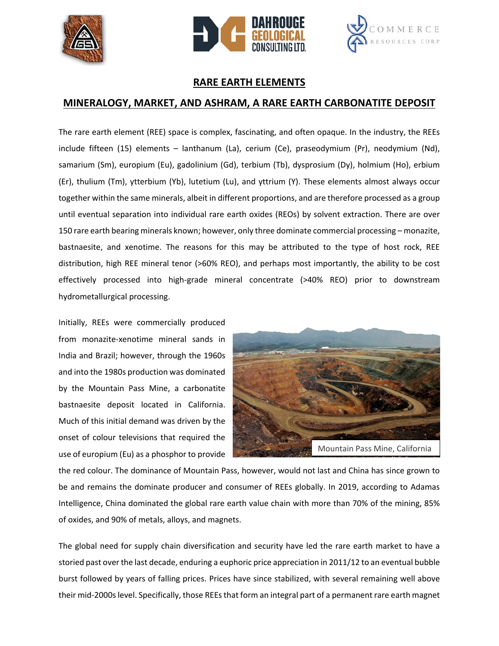





## **RARE EARTH ELEMENTS**

## **MINERALOGY, MARKET, AND ASHRAM, A RARE EARTH CARBONATITE DEPOSIT**

The rare earth element (REE) space is complex, fascinating, and often opaque. In the industry, the REEs include fifteen (15) elements – lanthanum (La), cerium (Ce), praseodymium (Pr), neodymium (Nd), samarium (Sm), europium (Eu), gadolinium (Gd), terbium (Tb), dysprosium (Dy), holmium (Ho), erbium (Er), thulium (Tm), ytterbium (Yb), lutetium (Lu), and yttrium (Y). These elements almost always occur together within the same minerals, albeit in different proportions, and are therefore processed as a group until eventual separation into individual rare earth oxides (REOs) by solvent extraction. There are over 150 rare earth bearing minerals known; however, only three dominate commercial processing – monazite, bastnaesite, and xenotime. The reasons for this may be attributed to the type of host rock, REE distribution, high REE mineral tenor (>60% REO), and perhaps most importantly, the ability to be cost effectively processed into high-grade mineral concentrate (>40% REO) prior to downstream hydrometallurgical processing.

Initially, REEs were commercially produced from monazite-xenotime mineral sands in India and Brazil; however, through the 1960s and into the 1980s production was dominated by the Mountain Pass Mine, a carbonatite bastnaesite deposit located in California. Much of this initial demand was driven by the onset of colour televisions that required the use of europium (Eu) as a phosphor to provide



the red colour. The dominance of Mountain Pass, however, would not last and China has since grown to be and remains the dominate producer and consumer of REEs globally. In 2019, according to Adamas Intelligence, China dominated the global rare earth value chain with more than 70% of the mining, 85% of oxides, and 90% of metals, alloys, and magnets.

The global need for supply chain diversification and security have led the rare earth market to have a storied past over the last decade, enduring a euphoric price appreciation in 2011/12 to an eventual bubble burst followed by years of falling prices. Prices have since stabilized, with several remaining well above their mid-2000s level. Specifically, those REEs that form an integral part of a permanent rare earth magnet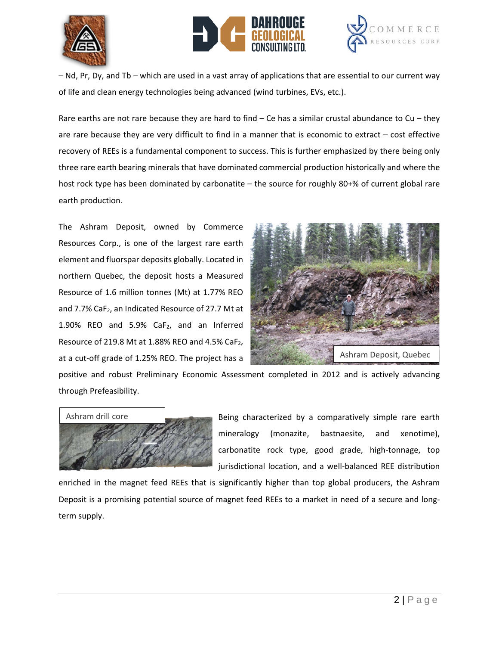





– Nd, Pr, Dy, and Tb – which are used in a vast array of applications that are essential to our current way of life and clean energy technologies being advanced (wind turbines, EVs, etc.).

Rare earths are not rare because they are hard to find  $-$  Ce has a similar crustal abundance to Cu  $-$  they are rare because they are very difficult to find in a manner that is economic to extract – cost effective recovery of REEs is a fundamental component to success. This is further emphasized by there being only three rare earth bearing minerals that have dominated commercial production historically and where the host rock type has been dominated by carbonatite – the source for roughly 80+% of current global rare earth production.

The Ashram Deposit, owned by Commerce Resources Corp., is one of the largest rare earth element and fluorspar deposits globally. Located in northern Quebec, the deposit hosts a Measured Resource of 1.6 million tonnes (Mt) at 1.77% REO and 7.7% CaF<sub>2</sub>, an Indicated Resource of 27.7 Mt at 1.90% REO and 5.9%  $CaF<sub>2</sub>$ , and an Inferred Resource of 219.8 Mt at 1.88% REO and 4.5% CaF<sub>2</sub>, at a cut-off grade of 1.25% REO. The project has a



positive and robust Preliminary Economic Assessment completed in 2012 and is actively advancing through Prefeasibility.



Being characterized by a comparatively simple rare earth mineralogy (monazite, bastnaesite, and xenotime), carbonatite rock type, good grade, high-tonnage, top jurisdictional location, and a well-balanced REE distribution

enriched in the magnet feed REEs that is significantly higher than top global producers, the Ashram Deposit is a promising potential source of magnet feed REEs to a market in need of a secure and longterm supply.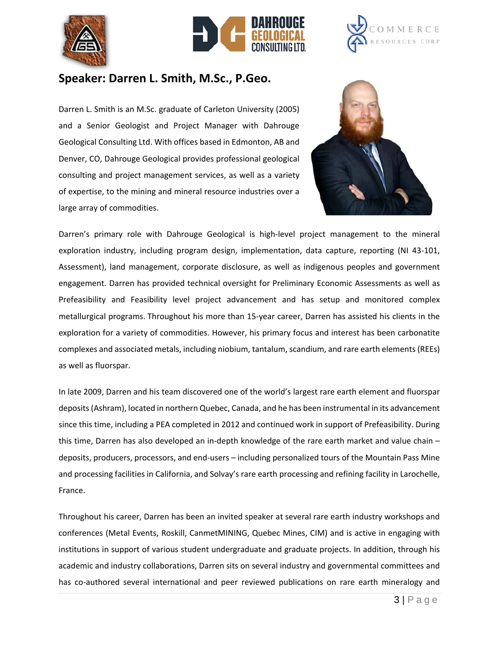





## **Speaker: Darren L. Smith, M.Sc., P.Geo.**

Darren L. Smith is an M.Sc. graduate of Carleton University (2005) and a Senior Geologist and Project Manager with Dahrouge Geological Consulting Ltd. With offices based in Edmonton, AB and Denver, CO, Dahrouge Geological provides professional geological consulting and project management services, as well as a variety of expertise, to the mining and mineral resource industries over a large array of commodities.



Darren's primary role with Dahrouge Geological is high-level project management to the mineral exploration industry, including program design, implementation, data capture, reporting (NI 43-101, Assessment), land management, corporate disclosure, as well as indigenous peoples and government engagement. Darren has provided technical oversight for Preliminary Economic Assessments as well as Prefeasibility and Feasibility level project advancement and has setup and monitored complex metallurgical programs. Throughout his more than 15-year career, Darren has assisted his clients in the exploration for a variety of commodities. However, his primary focus and interest has been carbonatite complexes and associated metals, including niobium, tantalum, scandium, and rare earth elements (REEs) as well as fluorspar.

In late 2009, Darren and his team discovered one of the world's largest rare earth element and fluorspar deposits (Ashram), located in northern Quebec, Canada, and he has been instrumental in its advancement since this time, including a PEA completed in 2012 and continued work in support of Prefeasibility. During this time, Darren has also developed an in-depth knowledge of the rare earth market and value chain – deposits, producers, processors, and end-users – including personalized tours of the Mountain Pass Mine and processing facilities in California, and Solvay's rare earth processing and refining facility in Larochelle, France.

Throughout his career, Darren has been an invited speaker at several rare earth industry workshops and conferences (Metal Events, Roskill, CanmetMINING, Quebec Mines, CIM) and is active in engaging with institutions in support of various student undergraduate and graduate projects. In addition, through his academic and industry collaborations, Darren sits on several industry and governmental committees and has co-authored several international and peer reviewed publications on rare earth mineralogy and